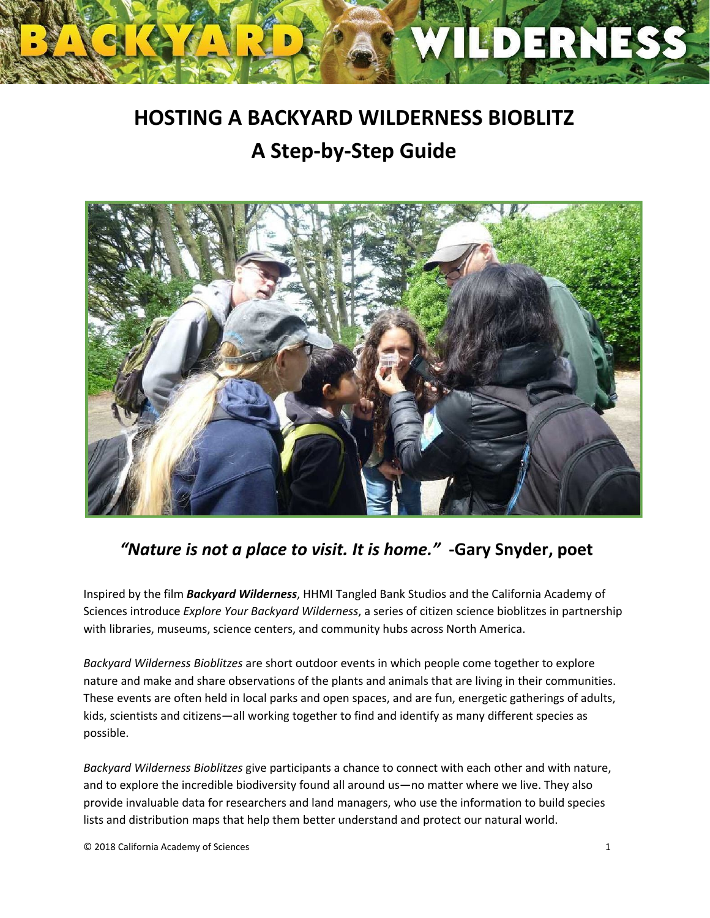# **HOSTING A BACKYARD WILDERNESS BIOBLITZ A Step-by-Step Guide**

PERN



## *"Nature is not a place to visit. It is home."* **-Gary Snyder, poet**

Inspired by the film *Backyard Wilderness*, HHMI Tangled Bank Studios and the California Academy of Sciences introduce *Explore Your Backyard Wilderness*, a series of citizen science bioblitzes in partnership with libraries, museums, science centers, and community hubs across North America.

*Backyard Wilderness Bioblitzes* are short outdoor events in which people come together to explore nature and make and share observations of the plants and animals that are living in their communities. These events are often held in local parks and open spaces, and are fun, energetic gatherings of adults, kids, scientists and citizens—all working together to find and identify as many different species as possible.

*Backyard Wilderness Bioblitzes* give participants a chance to connect with each other and with nature, and to explore the incredible biodiversity found all around us—no matter where we live. They also provide invaluable data for researchers and land managers, who use the information to build species lists and distribution maps that help them better understand and protect our natural world.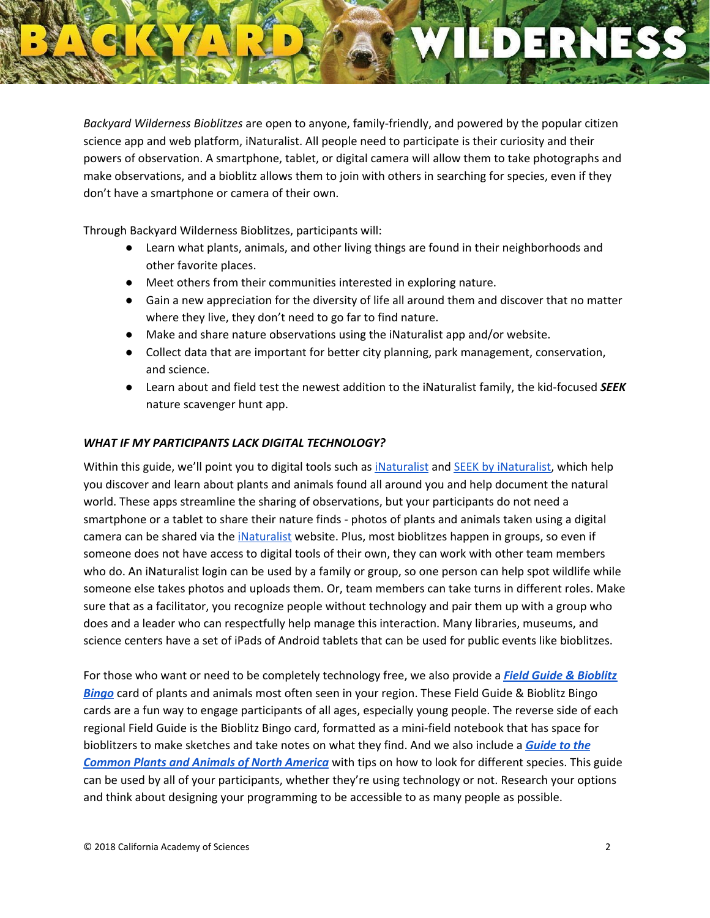*Backyard Wilderness Bioblitzes* are open to anyone, family-friendly, and powered by the popular citizen science app and web platform, iNaturalist. All people need to participate is their curiosity and their powers of observation. A smartphone, tablet, or digital camera will allow them to take photographs and make observations, and a bioblitz allows them to join with others in searching for species, even if they don't have a smartphone or camera of their own.

Through Backyard Wilderness Bioblitzes, participants will:

- Learn what plants, animals, and other living things are found in their neighborhoods and other favorite places.
- Meet others from their communities interested in exploring nature.
- Gain a new appreciation for the diversity of life all around them and discover that no matter where they live, they don't need to go far to find nature.
- Make and share nature observations using the iNaturalist app and/or website.
- Collect data that are important for better city planning, park management, conservation, and science.
- Learn about and field test the newest addition to the iNaturalist family, the kid-focused *SEEK* nature scavenger hunt app.

#### *WHAT IF MY PARTICIPANTS LACK DIGITAL TECHNOLOGY?*

Within this guide, we'll point you to digital tools such as [iNaturalist](https://www.inaturalist.org/) and SEEK by [iNaturalist,](https://www.inaturalist.org/pages/seek_app) which help you discover and learn about plants and animals found all around you and help document the natural world. These apps streamline the sharing of observations, but your participants do not need a smartphone or a tablet to share their nature finds - photos of plants and animals taken using a digital camera can be shared via the [iNaturalist](https://www.inaturalist.org/) website. Plus, most bioblitzes happen in groups, so even if someone does not have access to digital tools of their own, they can work with other team members who do. An iNaturalist login can be used by a family or group, so one person can help spot wildlife while someone else takes photos and uploads them. Or, team members can take turns in different roles. Make sure that as a facilitator, you recognize people without technology and pair them up with a group who does and a leader who can respectfully help manage this interaction. Many libraries, museums, and science centers have a set of iPads of Android tablets that can be used for public events like bioblitzes.

For those who want or need to be completely technology free, we also provide a *Field Guide & [Bioblitz](https://www.dropbox.com/sh/z9lnxrjai4srik9/AACYKimI_e5UeCjcuFIJQEHja?dl=0) [Bingo](https://www.dropbox.com/sh/z9lnxrjai4srik9/AACYKimI_e5UeCjcuFIJQEHja?dl=0)* card of plants and animals most often seen in your region. These Field Guide & Bioblitz Bingo cards are a fun way to engage participants of all ages, especially young people. The reverse side of each regional Field Guide is the Bioblitz Bingo card, formatted as a mini-field notebook that has space for bioblitzers to make sketches and take notes on what they find. And we also include a *[Guide](https://www.dropbox.com/s/x806ddgx5gcm7ub/North%20America%20Field%20Guide.pdf?dl=0) to the [Common](https://www.dropbox.com/s/x806ddgx5gcm7ub/North%20America%20Field%20Guide.pdf?dl=0) Plants and Animals of North America* with tips on how to look for different species. This guide can be used by all of your participants, whether they're using technology or not. Research your options and think about designing your programming to be accessible to as many people as possible.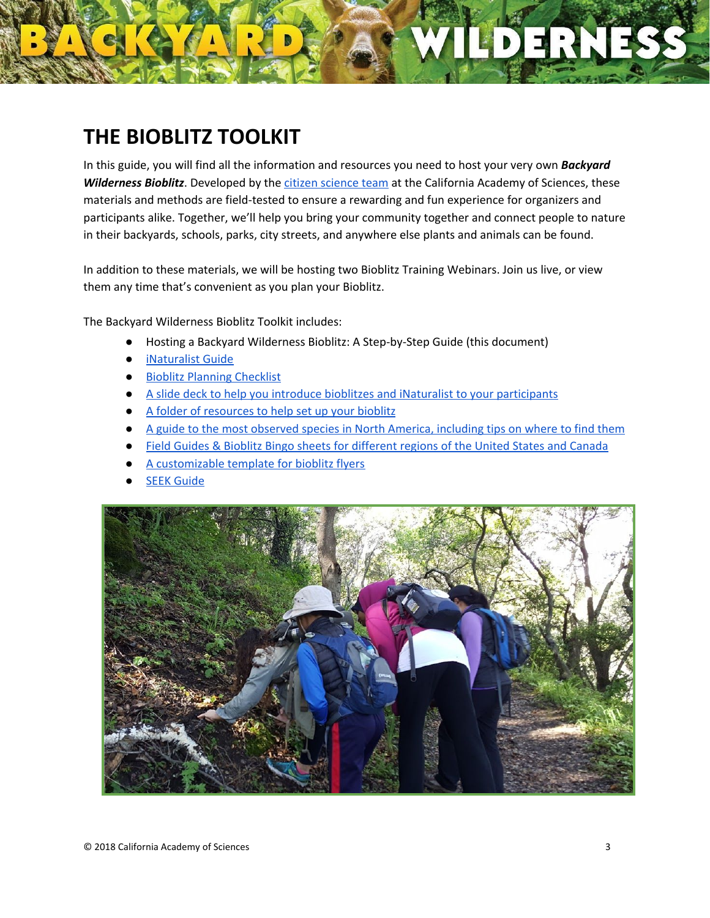# **THE BIOBLITZ TOOLKIT**

In this guide, you will find all the information and resources you need to host your very own *Backyard Wilderness Bioblitz*. Developed by the citizen [science](https://www.calacademy.org/citizen-science/) team at the California Academy of Sciences, these materials and methods are field-tested to ensure a rewarding and fun experience for organizers and participants alike. Together, we'll help you bring your community together and connect people to nature in their backyards, schools, parks, city streets, and anywhere else plants and animals can be found.

In addition to these materials, we will be hosting two Bioblitz Training Webinars. Join us live, or view them any time that's convenient as you plan your Bioblitz.

The Backyard Wilderness Bioblitz Toolkit includes:

- Hosting a Backyard Wilderness Bioblitz: A Step-by-Step Guide (this document)
- [iNaturalist](https://www.dropbox.com/s/xyfrw6vdigmddkz/2%29%20iNaturalist%20Guide.pdf?dl=0) Guide
- Bioblitz Planning [Checklist](https://www.dropbox.com/s/33dc25si8ja3u19/3%29%20Bioblitz%20Planning%20Checklist.pdf?dl=0)
- A slide deck to help you introduce bioblitzes and iNaturalist to your [participants](https://www.dropbox.com/s/w4u5sdsowsgs1qo/Slideshow%20Introduction%20to%20iNaturalist%20%26%20Bioblitzes.pptx?dl=0)
- A folder of [resources](https://www.dropbox.com/sh/l2voyawx8hfxw1y/AABeyl53VB_31fUI8dQFXA6Za?dl=0) to help set up your bioblitz
- A guide to the most [observed](https://www.dropbox.com/s/x806ddgx5gcm7ub/North%20America%20Field%20Guide.pdf?dl=0) species in North America, including tips on where to find them
- Field Guides & Bioblitz Bingo sheets for [different](https://www.dropbox.com/sh/z9lnxrjai4srik9/AACYKimI_e5UeCjcuFIJQEHja?dl=0) regions of the United States and Canada
- A [customizable](https://www.dropbox.com/s/3wgkkmrtyha8f8f/Bioblitz%20Flyer%20template.pptx?dl=0) template for bioblitz flyers
- **SEEK [Guide](https://www.dropbox.com/s/ipjvtpha4koxyhm/5%29%20SEEK%20by%20iNaturalist.pdf?dl=0)**



 $D = 3N$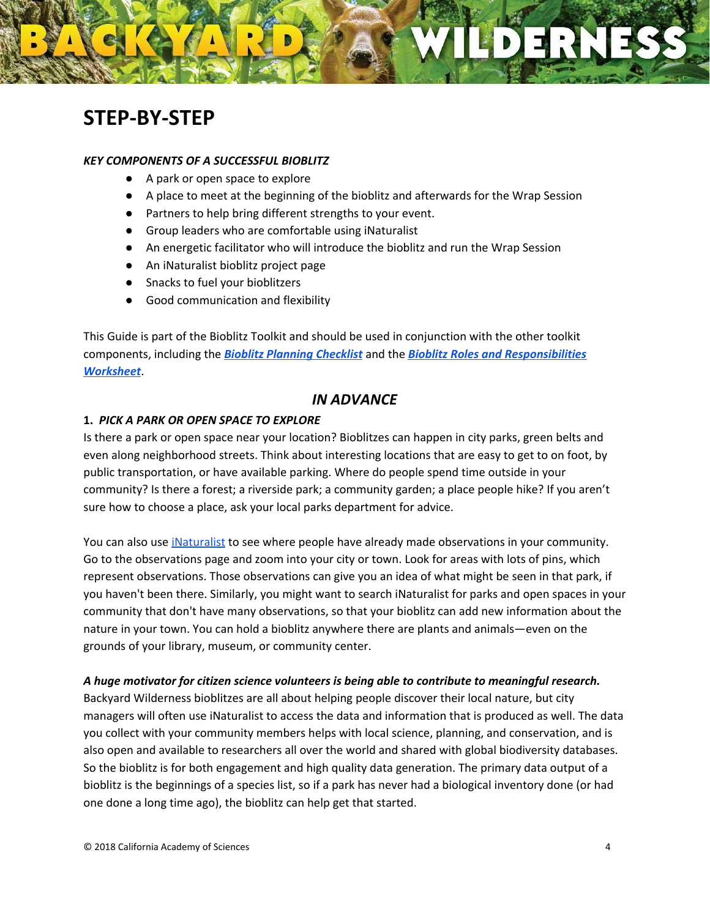# **STEP-BY-STEP**

#### *KEY COMPONENTS OF A SUCCESSFUL BIOBLITZ*

- A park or open space to explore
- A place to meet at the beginning of the bioblitz and afterwards for the Wrap Session
- Partners to help bring different strengths to your event.
- Group leaders who are comfortable using iNaturalist
- An energetic facilitator who will introduce the bioblitz and run the Wrap Session
- An iNaturalist bioblitz project page
- Snacks to fuel your bioblitzers
- Good communication and flexibility

This Guide is part of the Bioblitz Toolkit and should be used in conjunction with the other toolkit components, including the *Bioblitz [Planning](https://www.dropbox.com/s/xrokelk0k928584/3%29%20Bioblitz%20Planning%20Checklist.pdf?dl=0) Checklist* and the *Bioblitz Roles and [Responsibilities](https://www.dropbox.com/s/0ey60h7lzshirnj/4%29%20Bioblitz%20Roles%20%26%20Responsibilities%20Worksheet.pdf?dl=0) [Worksheet](https://www.dropbox.com/s/0ey60h7lzshirnj/4%29%20Bioblitz%20Roles%20%26%20Responsibilities%20Worksheet.pdf?dl=0)*.

#### *IN ADVANCE*

#### **1.** *PICK A PARK OR OPEN SPACE TO EXPLORE*

Is there a park or open space near your location? Bioblitzes can happen in city parks, green belts and even along neighborhood streets. Think about interesting locations that are easy to get to on foot, by public transportation, or have available parking. Where do people spend time outside in your community? Is there a forest; a riverside park; a community garden; a place people hike? If you aren't sure how to choose a place, ask your local parks department for advice.

You can also use *[iNaturalist](https://www.inaturalist.org/)* to see where people have already made observations in your community. Go to the [observations](https://www.inaturalist.org/observations) page and zoom into your city or town. Look for areas with lots of pins, which represent observations. Those observations can give you an idea of what might be seen in that park, if you haven't been there. Similarly, you might want to search iNaturalist for parks and open spaces in your community that don't have many observations, so that your bioblitz can add new information about the nature in your town. You can hold a bioblitz anywhere there are plants and animals—even on the grounds of your library, museum, or community center.

#### *A huge motivator for citizen science volunteers is being able to contribute to meaningful research.*

Backyard Wilderness bioblitzes are all about helping people discover their local nature, but city managers will often use iNaturalist to access the data and information that is produced as well. The data you collect with your community members helps with local science, planning, and conservation, and is also open and available to researchers all over the world and shared with global biodiversity databases. So the bioblitz is for both engagement and high quality data generation. The primary data output of a bioblitz is the beginnings of a species list, so if a park has never had a biological inventory done (or had one done a long time ago), the bioblitz can help get that started.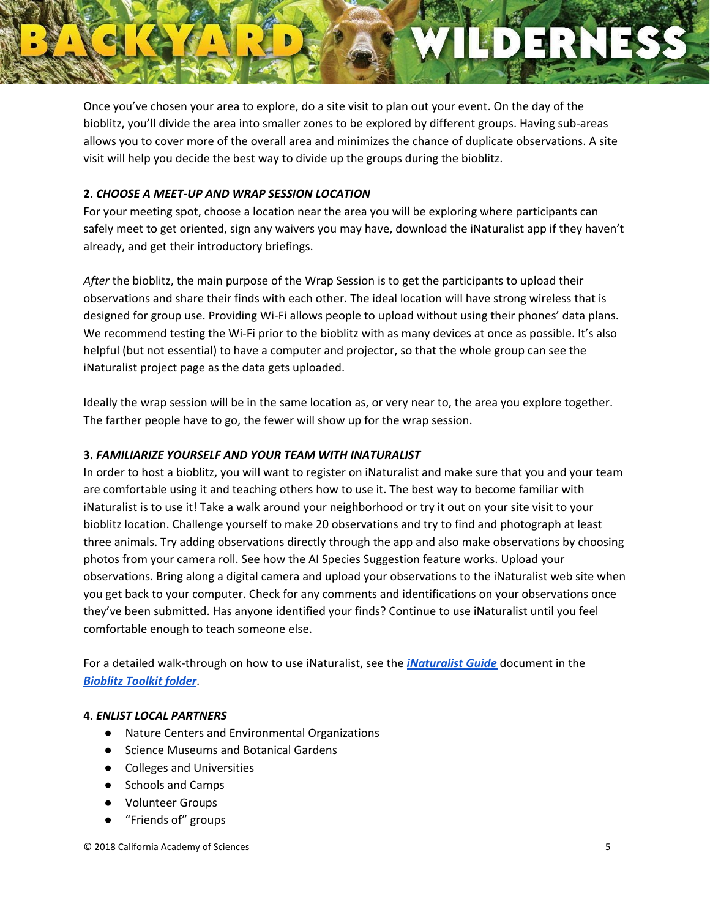Once you've chosen your area to explore, do a site visit to plan out your event. On the day of the bioblitz, you'll divide the area into smaller zones to be explored by different groups. Having sub-areas allows you to cover more of the overall area and minimizes the chance of duplicate observations. A site visit will help you decide the best way to divide up the groups during the bioblitz.

#### **2.** *CHOOSE A MEET-UP AND WRAP SESSION LOCATION*

For your meeting spot, choose a location near the area you will be exploring where participants can safely meet to get oriented, sign any waivers you may have, download the iNaturalist app if they haven't already, and get their introductory briefings.

*After* the bioblitz, the main purpose of the Wrap Session is to get the participants to upload their observations and share their finds with each other. The ideal location will have strong wireless that is designed for group use. Providing Wi-Fi allows people to upload without using their phones' data plans. We recommend testing the Wi-Fi prior to the bioblitz with as many devices at once as possible. It's also helpful (but not essential) to have a computer and projector, so that the whole group can see the iNaturalist project page as the data gets uploaded.

Ideally the wrap session will be in the same location as, or very near to, the area you explore together. The farther people have to go, the fewer will show up for the wrap session.

#### **3.** *FAMILIARIZE YOURSELF AND YOUR TEAM WITH INATURALIST*

In order to host a bioblitz, you will want to register on iNaturalist and make sure that you and your team are comfortable using it and teaching others how to use it. The best way to become familiar with iNaturalist is to use it! Take a walk around your neighborhood or try it out on your site visit to your bioblitz location. Challenge yourself to make 20 observations and try to find and photograph at least three animals. Try adding observations directly through the app and also make observations by choosing photos from your camera roll. See how the AI Species Suggestion feature works. Upload your observations. Bring along a digital camera and upload your observations to the iNaturalist web site when you get back to your computer. Check for any comments and identifications on your observations once they've been submitted. Has anyone identified your finds? Continue to use iNaturalist until you feel comfortable enough to teach someone else.

For a detailed walk-through on how to use iNaturalist, see the *[iNaturalist](https://www.dropbox.com/s/xyfrw6vdigmddkz/2%29%20iNaturalist%20Guide.pdf?dl=0) Guide* document in the *[Bioblitz](https://www.dropbox.com/sh/jubammmw5qpw8vi/AAAwY190we5FJK0MtNrYxILLa?dl=0) Toolkit folder*.

#### **4.** *ENLIST LOCAL PARTNERS*

- Nature Centers and Environmental Organizations
- Science Museums and Botanical Gardens
- Colleges and Universities
- Schools and Camps
- Volunteer Groups
- "Friends of" groups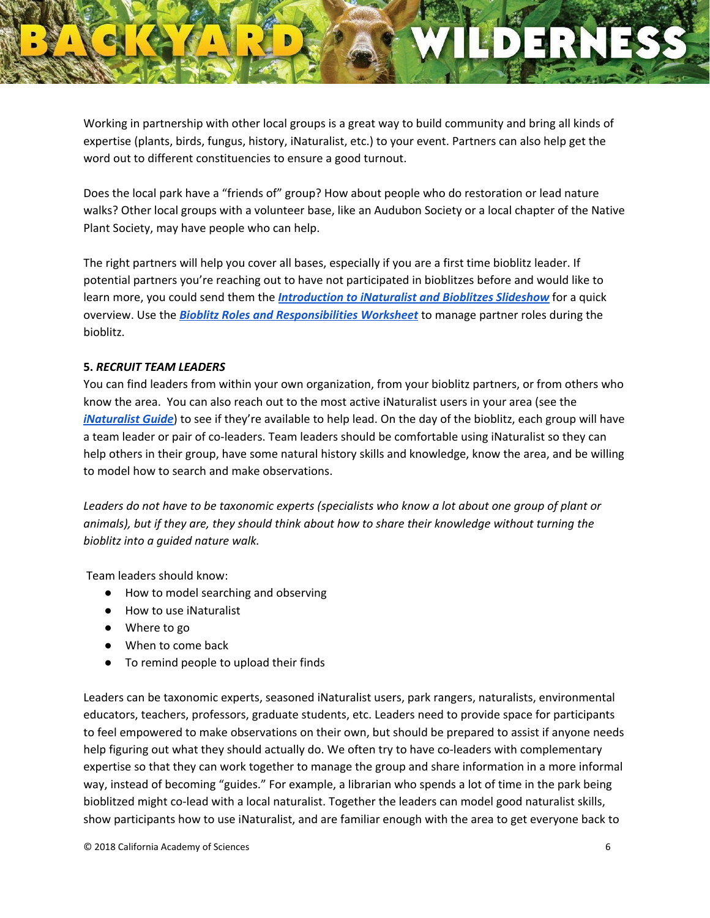Working in partnership with other local groups is a great way to build community and bring all kinds of expertise (plants, birds, fungus, history, iNaturalist, etc.) to your event. Partners can also help get the word out to different constituencies to ensure a good turnout.

Does the local park have a "friends of" group? How about people who do restoration or lead nature walks? Other local groups with a volunteer base, like an Audubon Society or a local chapter of the Native Plant Society, may have people who can help.

The right partners will help you cover all bases, especially if you are a first time bioblitz leader. If potential partners you're reaching out to have not participated in bioblitzes before and would like to learn more, you could send them the *[Introduction](https://www.dropbox.com/s/w4u5sdsowsgs1qo/Slideshow%20Introduction%20to%20iNaturalist%20%26%20Bioblitzes.pptx?dl=0) to iNaturalist and Bioblitzes Slideshow* for a quick overview. Use the *Bioblitz Roles and [Responsibilities](https://www.dropbox.com/s/0ey60h7lzshirnj/4%29%20Bioblitz%20Roles%20%26%20Responsibilities%20Worksheet.pdf?dl=0) Worksheet* to manage partner roles during the bioblitz.

#### **5.** *RECRUIT TEAM LEADERS*

You can find leaders from within your own organization, from your bioblitz partners, or from others who know the area. You can also reach out to the most active iNaturalist users in your area (see the *[iNaturalist](https://www.dropbox.com/s/xyfrw6vdigmddkz/2%29%20iNaturalist%20Guide.pdf?dl=0) Guide*) to see if they're available to help lead. On the day of the bioblitz, each group will have a team leader or pair of co-leaders. Team leaders should be comfortable using iNaturalist so they can help others in their group, have some natural history skills and knowledge, know the area, and be willing to model how to search and make observations.

Leaders do not have to be taxonomic experts (specialists who know a lot about one group of plant or *animals), but if they are, they should think about how to share their knowledge without turning the bioblitz into a guided nature walk.*

Team leaders should know:

- How to model searching and observing
- How to use iNaturalist
- Where to go
- When to come back
- To remind people to upload their finds

Leaders can be taxonomic experts, seasoned iNaturalist users, park rangers, naturalists, environmental educators, teachers, professors, graduate students, etc. Leaders need to provide space for participants to feel empowered to make observations on their own, but should be prepared to assist if anyone needs help figuring out what they should actually do. We often try to have co-leaders with complementary expertise so that they can work together to manage the group and share information in a more informal way, instead of becoming "guides." For example, a librarian who spends a lot of time in the park being bioblitzed might co-lead with a local naturalist. Together the leaders can model good naturalist skills, show participants how to use iNaturalist, and are familiar enough with the area to get everyone back to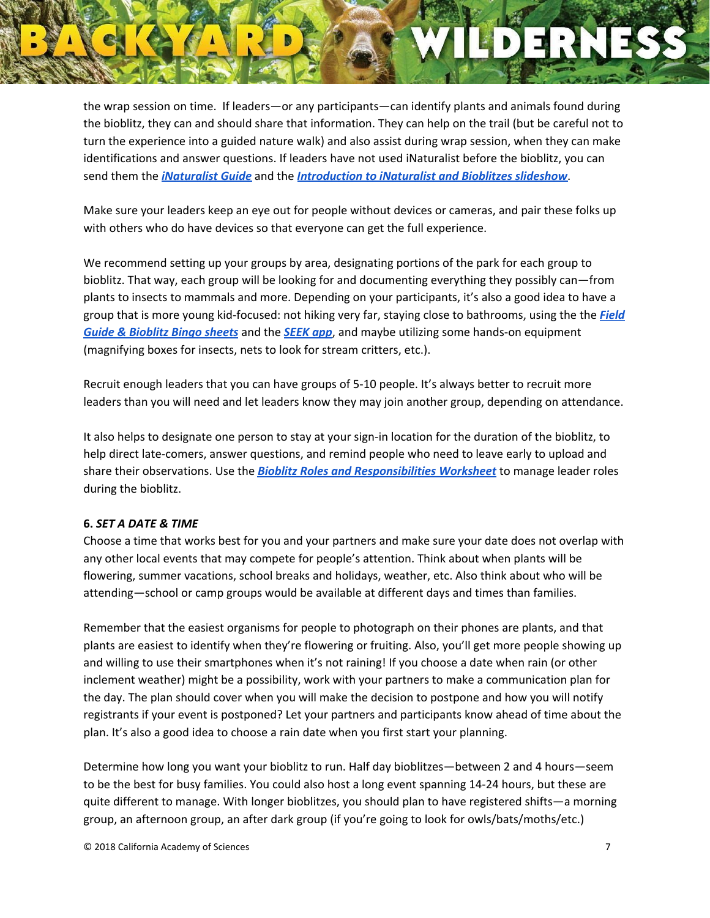the wrap session on time. If leaders—or any participants—can identify plants and animals found during the bioblitz, they can and should share that information. They can help on the trail (but be careful not to turn the experience into a guided nature walk) and also assist during wrap session, when they can make identifications and answer questions. If leaders have not used iNaturalist before the bioblitz, you can send them the *[iNaturalist](https://www.dropbox.com/s/xyfrw6vdigmddkz/2%29%20iNaturalist%20Guide.pdf?dl=0) Guide* and the *[Introduction](https://www.dropbox.com/s/w4u5sdsowsgs1qo/Slideshow%20Introduction%20to%20iNaturalist%20%26%20Bioblitzes.pptx?dl=0) to iNaturalist and Bioblitzes slideshow*.

Make sure your leaders keep an eye out for people without devices or cameras, and pair these folks up with others who do have devices so that everyone can get the full experience.

We recommend setting up your groups by area, designating portions of the park for each group to bioblitz. That way, each group will be looking for and documenting everything they possibly can—from plants to insects to mammals and more. Depending on your participants, it's also a good idea to have a group that is more young kid-focused: not hiking very far, staying close to bathrooms, using the the *[Field](https://www.dropbox.com/sh/z9lnxrjai4srik9/AACYKimI_e5UeCjcuFIJQEHja?dl=0) Guide & [Bioblitz](https://www.dropbox.com/sh/z9lnxrjai4srik9/AACYKimI_e5UeCjcuFIJQEHja?dl=0) Bingo sheets* and the *[SEEK](https://www.dropbox.com/s/ipjvtpha4koxyhm/5%29%20SEEK%20by%20iNaturalist.pdf?dl=0) app*, and maybe utilizing some hands-on equipment (magnifying boxes for insects, nets to look for stream critters, etc.).

Recruit enough leaders that you can have groups of 5-10 people. It's always better to recruit more leaders than you will need and let leaders know they may join another group, depending on attendance.

It also helps to designate one person to stay at your sign-in location for the duration of the bioblitz, to help direct late-comers, answer questions, and remind people who need to leave early to upload and share their observations. Use the *Bioblitz Roles and [Responsibilities](https://www.dropbox.com/s/0ey60h7lzshirnj/4%29%20Bioblitz%20Roles%20%26%20Responsibilities%20Worksheet.pdf?dl=0) Worksheet* to manage leader roles during the bioblitz.

#### **6.** *SET A DATE & TIME*

Choose a time that works best for you and your partners and make sure your date does not overlap with any other local events that may compete for people's attention. Think about when plants will be flowering, summer vacations, school breaks and holidays, weather, etc. Also think about who will be attending—school or camp groups would be available at different days and times than families.

Remember that the easiest organisms for people to photograph on their phones are plants, and that plants are easiest to identify when they're flowering or fruiting. Also, you'll get more people showing up and willing to use their smartphones when it's not raining! If you choose a date when rain (or other inclement weather) might be a possibility, work with your partners to make a communication plan for the day. The plan should cover when you will make the decision to postpone and how you will notify registrants if your event is postponed? Let your partners and participants know ahead of time about the plan. It's also a good idea to choose a rain date when you first start your planning.

Determine how long you want your bioblitz to run. Half day bioblitzes—between 2 and 4 hours—seem to be the best for busy families. You could also host a long event spanning 14-24 hours, but these are quite different to manage. With longer bioblitzes, you should plan to have registered shifts—a morning group, an afternoon group, an after dark group (if you're going to look for owls/bats/moths/etc.)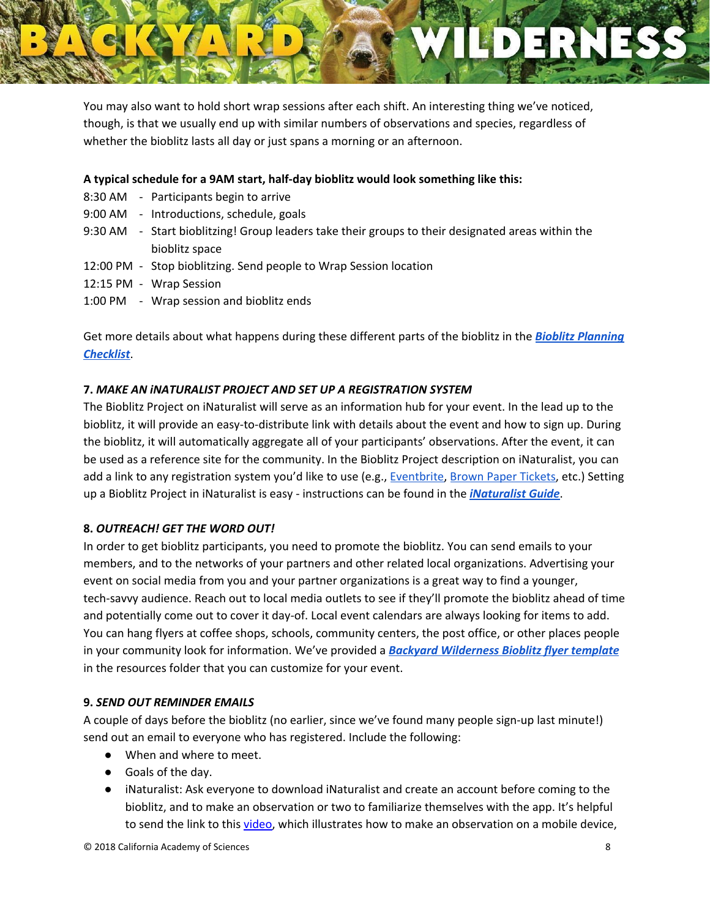

You may also want to hold short wrap sessions after each shift. An interesting thing we've noticed, though, is that we usually end up with similar numbers of observations and species, regardless of whether the bioblitz lasts all day or just spans a morning or an afternoon.

#### **A typical schedule for a 9AM start, half-day bioblitz would look something like this:**

- 8:30 AM Participants begin to arrive
- 9:00 AM Introductions, schedule, goals
- 9:30 AM Start bioblitzing! Group leaders take their groups to their designated areas within the bioblitz space
- 12:00 PM Stop bioblitzing. Send people to Wrap Session location
- 12:15 PM Wrap Session
- 1:00 PM Wrap session and bioblitz ends

Get more details about what happens during these different parts of the bioblitz in the *Bioblitz [Planning](https://www.dropbox.com/s/xrokelk0k928584/3%29%20Bioblitz%20Planning%20Checklist.pdf?dl=0) [Checklist](https://www.dropbox.com/s/xrokelk0k928584/3%29%20Bioblitz%20Planning%20Checklist.pdf?dl=0)*.

#### **7.** *MAKE AN iNATURALIST PROJECT AND SET UP A REGISTRATION SYSTEM*

The Bioblitz Project on iNaturalist will serve as an information hub for your event. In the lead up to the bioblitz, it will provide an easy-to-distribute link with details about the event and how to sign up. During the bioblitz, it will automatically aggregate all of your participants' observations. After the event, it can be used as a reference site for the community. In the Bioblitz Project description on iNaturalist, you can add a link to any registration system you'd like to use (e.g., [Eventbrite,](https://www.eventbrite.com/) Brown Paper [Tickets](https://www.brownpapertickets.com/), etc.) Setting up a Bioblitz Project in iNaturalist is easy - instructions can be found in the *[iNaturalist](https://www.dropbox.com/s/xyfrw6vdigmddkz/2%29%20iNaturalist%20Guide.pdf?dl=0) Guide*.

#### **8.** *OUTREACH! GET THE WORD OUT!*

In order to get bioblitz participants, you need to promote the bioblitz. You can send emails to your members, and to the networks of your partners and other related local organizations. Advertising your event on social media from you and your partner organizations is a great way to find a younger, tech-savvy audience. Reach out to local media outlets to see if they'll promote the bioblitz ahead of time and potentially come out to cover it day-of. Local event calendars are always looking for items to add. You can hang flyers at coffee shops, schools, community centers, the post office, or other places people in your community look for information. We've provided a *Backyard [Wilderness](https://www.dropbox.com/s/3wgkkmrtyha8f8f/Bioblitz%20Flyer%20template.pptx?dl=0) Bioblitz flyer template* in the resources folder that you can customize for your event.

#### **9.** *SEND OUT REMINDER EMAILS*

A couple of days before the bioblitz (no earlier, since we've found many people sign-up last minute!) send out an email to everyone who has registered. Include the following:

- When and where to meet.
- Goals of the day.
- iNaturalist: Ask everyone to download iNaturalist and create an account before coming to the bioblitz, and to make an observation or two to familiarize themselves with the app. It's helpful to send the link to this *video*, which illustrates how to make an observation on a mobile device,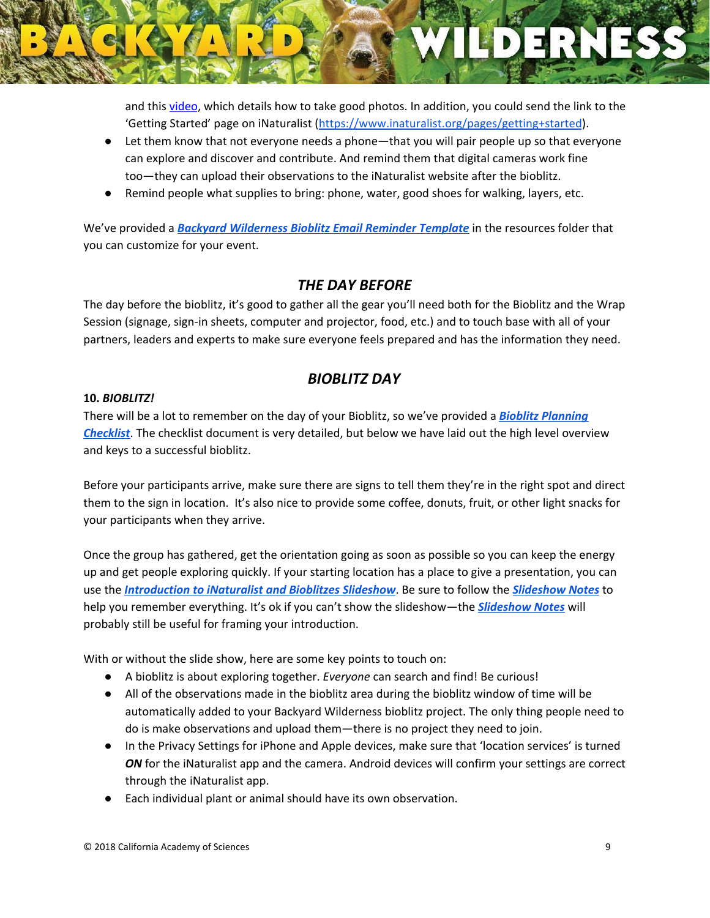and this [video](https://vimeo.com/167341998), which details how to take good photos. In addition, you could send the link to the 'Getting Started' page on iNaturalist (<https://www.inaturalist.org/pages/getting+started>).

- Let them know that not everyone needs a phone—that you will pair people up so that everyone can explore and discover and contribute. And remind them that digital cameras work fine too—they can upload their observations to the iNaturalist website after the bioblitz.
- Remind people what supplies to bring: phone, water, good shoes for walking, layers, etc.

We've provided a *Backyard [Wilderness](https://www.dropbox.com/s/o2ihb0bhlvinap5/Bioblitz%20Reminder%20Email%20Template.docx?dl=0) Bioblitz Email Reminder Template* in the resources folder that you can customize for your event.

### *THE DAY BEFORE*

The day before the bioblitz, it's good to gather all the gear you'll need both for the Bioblitz and the Wrap Session (signage, sign-in sheets, computer and projector, food, etc.) and to touch base with all of your partners, leaders and experts to make sure everyone feels prepared and has the information they need.

### *BIOBLITZ DAY*

#### **10.** *BIOBLITZ!*

There will be a lot to remember on the day of your Bioblitz, so we've provided a *Bioblitz [Planning](https://www.dropbox.com/s/xrokelk0k928584/3%29%20Bioblitz%20Planning%20Checklist.pdf?dl=0) [Checklist](https://www.dropbox.com/s/xrokelk0k928584/3%29%20Bioblitz%20Planning%20Checklist.pdf?dl=0)*. The checklist document is very detailed, but below we have laid out the high level overview and keys to a successful bioblitz.

Before your participants arrive, make sure there are signs to tell them they're in the right spot and direct them to the sign in location. It's also nice to provide some coffee, donuts, fruit, or other light snacks for your participants when they arrive.

Once the group has gathered, get the orientation going as soon as possible so you can keep the energy up and get people exploring quickly. If your starting location has a place to give a presentation, you can use the *[Introduction](https://www.dropbox.com/s/w4u5sdsowsgs1qo/Slideshow%20Introduction%20to%20iNaturalist%20%26%20Bioblitzes.pptx?dl=0) to iNaturalist and Bioblitzes Slideshow*. Be sure to follow the *[Slideshow](https://www.dropbox.com/s/h30qnfewg13rbiz/Notes%20for%20Introduction%20to%20iNaturalist%20and%20Bioblitzes%20Slideshow.pdf?dl=0) Notes* to help you remember everything. It's ok if you can't show the slideshow—the *[Slideshow](https://www.dropbox.com/s/h30qnfewg13rbiz/Notes%20for%20Introduction%20to%20iNaturalist%20and%20Bioblitzes%20Slideshow.pdf?dl=0) Notes* will probably still be useful for framing your introduction.

With or without the slide show, here are some key points to touch on:

- A bioblitz is about exploring together. *Everyone* can search and find! Be curious!
- All of the observations made in the bioblitz area during the bioblitz window of time will be automatically added to your Backyard Wilderness bioblitz project. The only thing people need to do is make observations and upload them—there is no project they need to join.
- In the Privacy Settings for iPhone and Apple devices, make sure that 'location services' is turned **ON** for the iNaturalist app and the camera. Android devices will confirm your settings are correct through the iNaturalist app.
- Each individual plant or animal should have its own observation.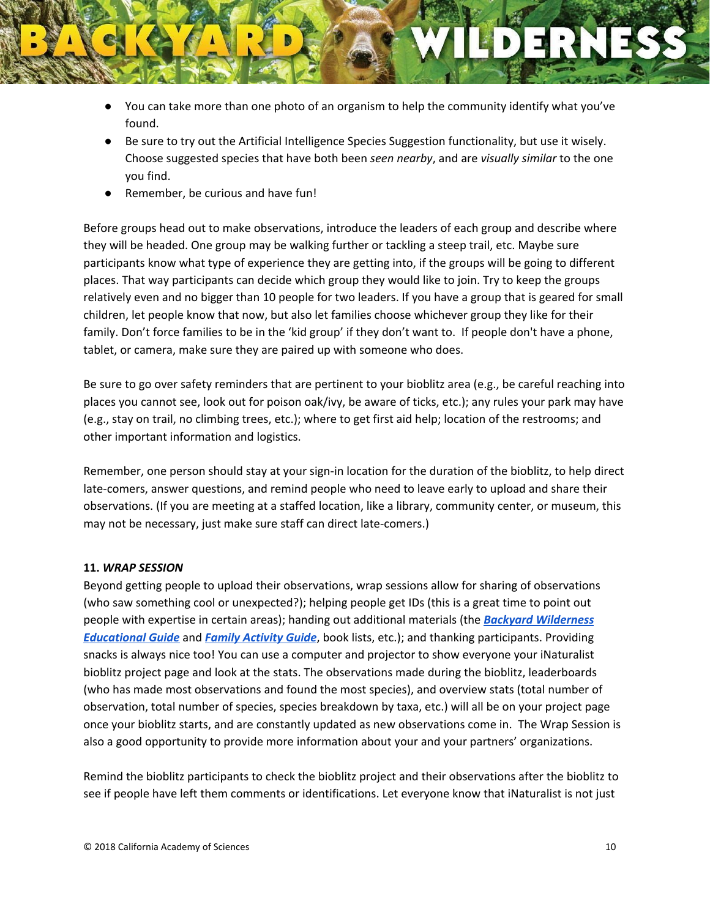- You can take more than one photo of an organism to help the community identify what you've found.
- Be sure to try out the Artificial Intelligence Species Suggestion functionality, but use it wisely. Choose suggested species that have both been *seen nearby*, and are *visually similar* to the one you find.
- Remember, be curious and have fun!

Before groups head out to make observations, introduce the leaders of each group and describe where they will be headed. One group may be walking further or tackling a steep trail, etc. Maybe sure participants know what type of experience they are getting into, if the groups will be going to different places. That way participants can decide which group they would like to join. Try to keep the groups relatively even and no bigger than 10 people for two leaders. If you have a group that is geared for small children, let people know that now, but also let families choose whichever group they like for their family. Don't force families to be in the 'kid group' if they don't want to. If people don't have a phone, tablet, or camera, make sure they are paired up with someone who does.

Be sure to go over safety reminders that are pertinent to your bioblitz area (e.g., be careful reaching into places you cannot see, look out for poison oak/ivy, be aware of ticks, etc.); any rules your park may have (e.g., stay on trail, no climbing trees, etc.); where to get first aid help; location of the restrooms; and other important information and logistics.

Remember, one person should stay at your sign-in location for the duration of the bioblitz, to help direct late-comers, answer questions, and remind people who need to leave early to upload and share their observations. (If you are meeting at a staffed location, like a library, community center, or museum, this may not be necessary, just make sure staff can direct late-comers.)

#### **11.** *WRAP SESSION*

Beyond getting people to upload their observations, wrap sessions allow for sharing of observations (who saw something cool or unexpected?); helping people get IDs (this is a great time to point out people with expertise in certain areas); handing out additional materials (the *Backyard [Wilderness](http://tylermifflin.com/uploads/movieFiles/3_CI_completebackyardwildernesseducatorguide(grades3-8)%20(1).pdf) [Educational](http://tylermifflin.com/uploads/movieFiles/3_CI_completebackyardwildernesseducatorguide(grades3-8)%20(1).pdf) Guide* and *Family [Activity](http://tylermifflin.com/uploads/movieFiles/0_EF_natureplayfamilyguidefinal.pdf) Guide*, book lists, etc.); and thanking participants. Providing snacks is always nice too! You can use a computer and projector to show everyone your iNaturalist bioblitz project page and look at the stats. The observations made during the bioblitz, leaderboards (who has made most observations and found the most species), and overview stats (total number of observation, total number of species, species breakdown by taxa, etc.) will all be on your project page once your bioblitz starts, and are constantly updated as new observations come in. The Wrap Session is also a good opportunity to provide more information about your and your partners' organizations.

Remind the bioblitz participants to check the bioblitz project and their observations after the bioblitz to see if people have left them comments or identifications. Let everyone know that iNaturalist is not just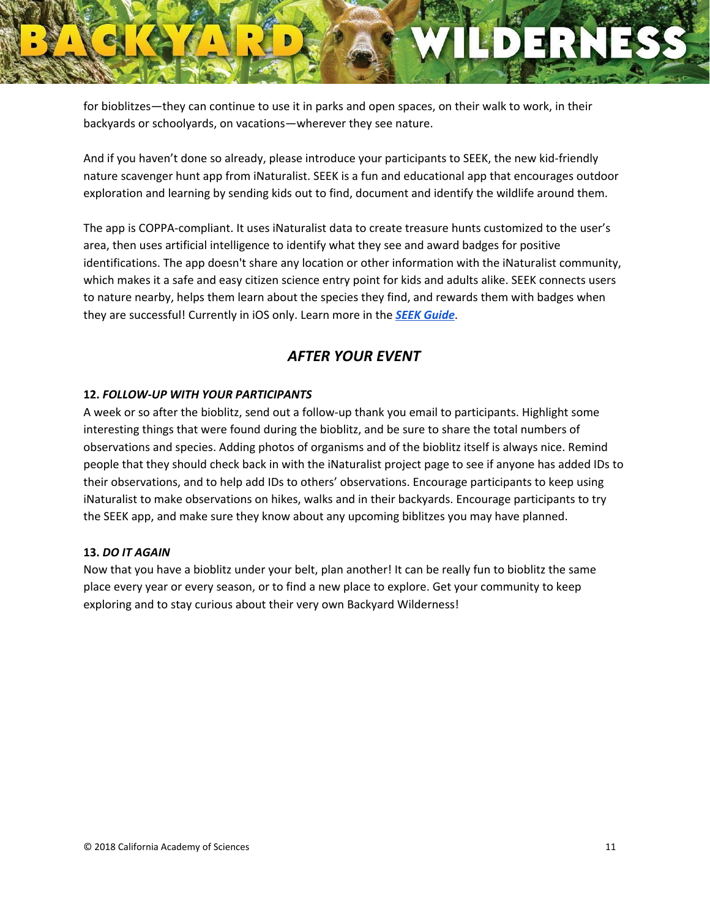for bioblitzes—they can continue to use it in parks and open spaces, on their walk to work, in their backyards or schoolyards, on vacations—wherever they see nature.

And if you haven't done so already, please introduce your participants to SEEK, the new kid-friendly nature scavenger hunt app from iNaturalist. SEEK is a fun and educational app that encourages outdoor exploration and learning by sending kids out to find, document and identify the wildlife around them.

The app is COPPA-compliant. It uses iNaturalist data to create treasure hunts customized to the user's area, then uses artificial intelligence to identify what they see and award badges for positive identifications. The app doesn't share any location or other information with the iNaturalist community, which makes it a safe and easy citizen science entry point for kids and adults alike. SEEK connects users to nature nearby, helps them learn about the species they find, and rewards them with badges when they are successful! Currently in iOS only. Learn more in the *SEEK [Guide](https://www.dropbox.com/s/ipjvtpha4koxyhm/5%29%20SEEK%20by%20iNaturalist.pdf?dl=0)*.

### *AFTER YOUR EVENT*

#### **12.** *FOLLOW-UP WITH YOUR PARTICIPANTS*

A week or so after the bioblitz, send out a follow-up thank you email to participants. Highlight some interesting things that were found during the bioblitz, and be sure to share the total numbers of observations and species. Adding photos of organisms and of the bioblitz itself is always nice. Remind people that they should check back in with the iNaturalist project page to see if anyone has added IDs to their observations, and to help add IDs to others' observations. Encourage participants to keep using iNaturalist to make observations on hikes, walks and in their backyards. Encourage participants to try the SEEK app, and make sure they know about any upcoming biblitzes you may have planned.

#### **13.** *DO IT AGAIN*

Now that you have a bioblitz under your belt, plan another! It can be really fun to bioblitz the same place every year or every season, or to find a new place to explore. Get your community to keep exploring and to stay curious about their very own Backyard Wilderness!